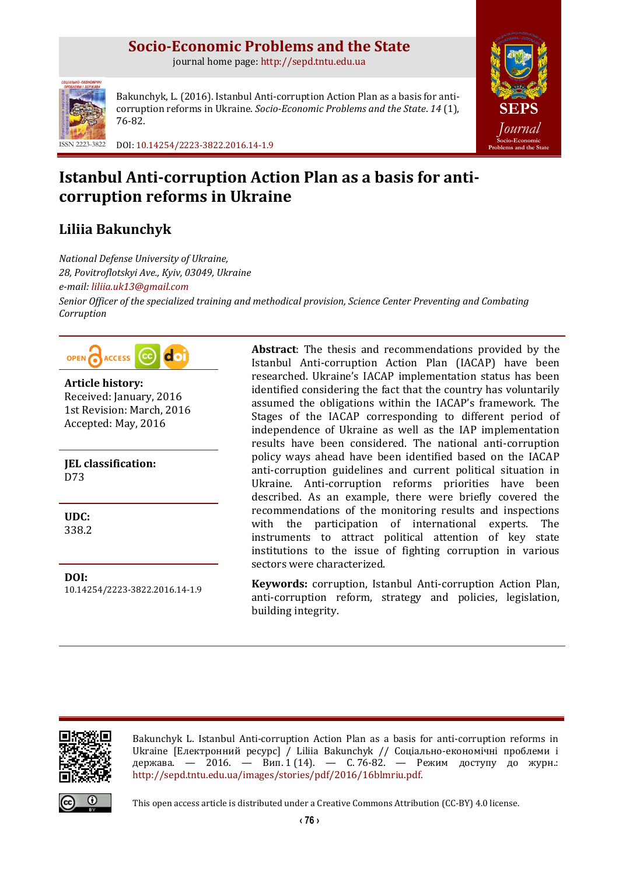# **Socio-Economic Problems and the State**

journal home page: [http://sepd.tntu.edu.ua](http://sepd.tntu.edu.ua/)



Bakunchyk, L. (2016). Istanbul Anti-corruption Action Plan as a basis for anticorruption reforms in Ukraine. *Socio-Economic Problems and the State*. *14* (1), 76-82.



ISSN 2223-3822 DOI[: 10.14254/2223-3822.2016.14-1.9](http://dx.doi.org/10.14254/2223-3822.2016.14-1.9)

# **Istanbul Anti-corruption Action Plan as a basis for anticorruption reforms in Ukraine**

# **Liliia Bakunchyk**

*National Defense University of Ukraine, 28, Povitroflotskyi Ave., Kyiv, 03049, Ukraine e-mail: [liliia.uk13@gmail.com](mailto:liliia.uk13@gmail.com) Senior Officer of the specialized training and methodical provision, Science Center Preventing and Combating Corruption*



**Article history:** Received: January, 2016 1st Revision: March, 2016 Accepted: May, 2016

**JEL classification:** D73

**UDC:** 338.2

**DOI:** [10.14254/2223-3822.2016.14-1.9](http://dx.doi.org/10.14254/2223-3822.2016.14-1.9) **Abstract**: The thesis and recommendations provided by the Istanbul Anti-corruption Action Plan (IACAP) have been researched. Ukraine's IACAP implementation status has been identified considering the fact that the country has voluntarily assumed the obligations within the IACAP's framework. The Stages of the IACAP corresponding to different period of independence of Ukraine as well as the IAP implementation results have been considered. The national anti-corruption policy ways ahead have been identified based on the IACAP anti-corruption guidelines and current political situation in Ukraine. Anti-corruption reforms priorities have been described. As an example, there were briefly covered the recommendations of the monitoring results and inspections with the participation of international experts. The instruments to attract political attention of key state institutions to the issue of fighting corruption in various sectors were characterized.

**Keywords:** corruption, Istanbul Anti-corruption Action Plan, anti-corruption reform, strategy and policies, legislation, building integrity.



Bakunchyk L. Istanbul Anti-corruption Action Plan as a basis for anti-corruption reforms in Ukraine [Електронний ресурс] / Liliia Bakunchyk // Соціально-економічні проблеми і держава. — 2016. — Вип. 1 (14). — С. 76-82. — Режим доступу до журн.: [http://sepd.tntu.edu.ua/images/stories/pdf/2016/16blmriu.pdf.](http://sepd.tntu.edu.ua/images/stories/pdf/2016/16vnatuk.pdf)

This open access article is distributed under [a Creative Commons Attribution \(CC-BY\) 4.0 license.](http://creativecommons.org/licenses/by/4.0/)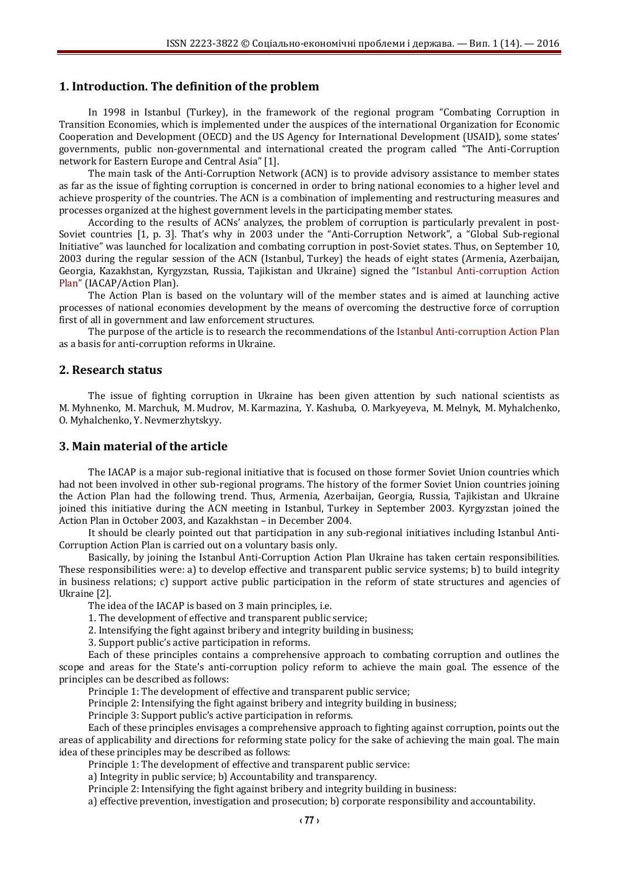# **1. Introduction. The definition of the problem**

In 1998 in Istanbul (Turkey), in the framework of the regional program "Combating Corruption in Transition Economies, which is implemented under the auspices of the international Organization for Economic Cooperation and Development (OECD) and the US Agency for International Development (USAID), some states' governments, public non-governmental and international created the program called "The Anti-Corruption network for Eastern Europe and Central Asia" [1].

The main task of the Anti-Corruption Network (ACN) is to provide advisory assistance to member states as far as the issue of fighting corruption is concerned in order to bring national economies to a higher level and achieve prosperity of the countries. The ACN is a combination of implementing and restructuring measures and processes organized at the highest government levels in the participating member states.

According to the results of ACNs' analyzes, the problem of corruption is particularly prevalent in post-Soviet countries [1, p. 3]. That's why in 2003 under the "Anti-Corruption Network", a "Global Sub-regional Initiative" was launched for localization and combating corruption in post-Soviet states. Thus, on September 10, 2003 during the regular session of the ACN (Istanbul, Turkey) the heads of eight states (Armenia, Azerbaijan, Georgia, Kazakhstan, Kyrgyzstan, Russia, Tajikistan and Ukraine) signed the "[Istanbul Anti-corruption Action](http://www.oecd.org/corruption/acn/istanbulactionplancountryreports.htm)  [Plan](http://www.oecd.org/corruption/acn/istanbulactionplancountryreports.htm)" (IACAP/Action Plan).

The Action Plan is based on the voluntary will of the member states and is aimed at launching active processes of national economies development by the means of overcoming the destructive force of corruption first of all in government and law enforcement structures.

The purpose of the article is to research the recommendations of the [Istanbul Anti-corruption Action Plan](http://www.oecd.org/corruption/acn/istanbulactionplancountryreports.htm) as a basis for anti-corruption reforms in Ukraine.

### **2. Research status**

The issue of fighting corruption in Ukraine has been given attention by such national scientists as M. Myhnenko, M. Marchuk, M. Mudrov, M. Karmazina, Y. Kashuba, O. Markyeyeva, M. Melnyk, M. Myhalchenko, O. Myhalchenko, Y. Nevmerzhytskyy.

## **3. Main material of the article**

The IACAP is a major sub-regional initiative that is focused on those former Soviet Union countries which had not been involved in other sub-regional programs. The history of the former Soviet Union countries joining the Action Plan had the following trend. Thus, Armenia, Azerbaijan, Georgia, Russia, Tajikistan and Ukraine joined this initiative during the ACN meeting in Istanbul, Turkey in September 2003. Kyrgyzstan joined the Action Plan in October 2003, and Kazakhstan – in December 2004.

It should be clearly pointed out that participation in any sub-regional initiatives including Istanbul Anti-Corruption Action Plan is carried out on a voluntary basis only.

Basically, by joining the Istanbul Anti-Corruption Action Plan Ukraine has taken certain responsibilities. These responsibilities were: a) to develop effective and transparent public service systems; b) to build integrity in business relations; c) support active public participation in the reform of state structures and agencies of Ukraine [2].

The idea of the IACAP is based on 3 main principles, i.e.

1. The development of effective and transparent public service;

2. Intensifying the fight against bribery and integrity building in business;

3. Support public's active participation in reforms.

Each of these principles contains a comprehensive approach to combating corruption and outlines the scope and areas for the State's anti-corruption policy reform to achieve the main goal. The essence of the principles can be described as follows:

Principle 1: The development of effective and transparent public service;

Principle 2: Intensifying the fight against bribery and integrity building in business;

Principle 3: Support public's active participation in reforms.

Each of these principles envisages a comprehensive approach to fighting against corruption, points out the areas of applicability and directions for reforming state policy for the sake of achieving the main goal. The main idea of these principles may be described as follows:

Principle 1: The development of effective and transparent public service:

a) Integrity in public service; b) Accountability and transparency.

Principle 2: Intensifying the fight against bribery and integrity building in business:

a) effective prevention, investigation and prosecution; b) corporate responsibility and accountability.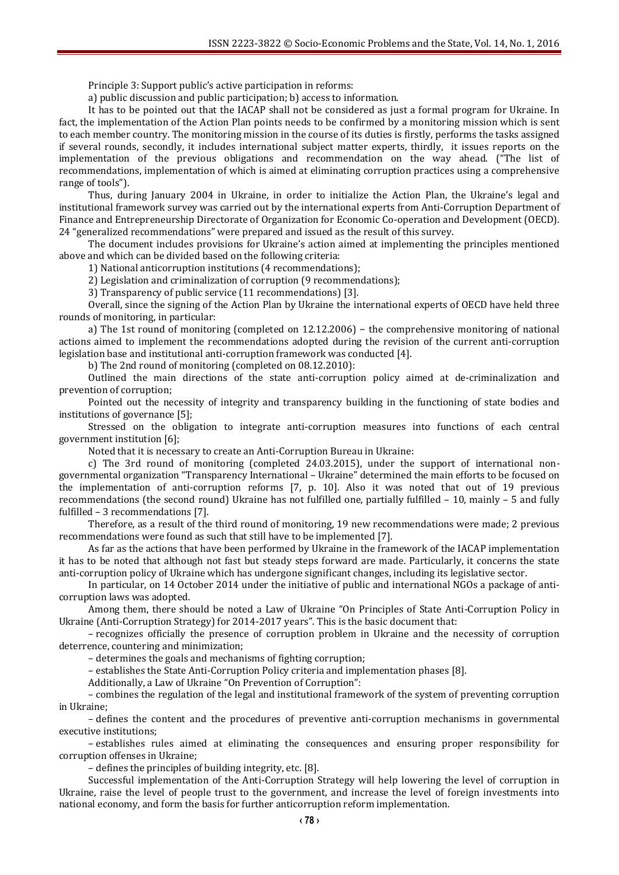Principle 3: Support public's active participation in reforms:

a) public discussion and public participation; b) access to information.

It has to be pointed out that the IACAP shall not be considered as just a formal program for Ukraine. In fact, the implementation of the Action Plan points needs to be confirmed by a monitoring mission which is sent to each member country. The monitoring mission in the course of its duties is firstly, performs the tasks assigned if several rounds, secondly, it includes international subject matter experts, thirdly, it issues reports on the implementation of the previous obligations and recommendation on the way ahead. ("The list of recommendations, implementation of which is aimed at eliminating corruption practices using a comprehensive range of tools").

Thus, during January 2004 in Ukraine, in order to initialize the Action Plan, the Ukraine's legal and institutional framework survey was carried out by the international experts from Anti-Corruption Department of Finance and Entrepreneurship Directorate of Organization for Economic Co-operation and Development (OECD). 24 "generalized recommendations" were prepared and issued as the result of this survey.

The document includes provisions for Ukraine's action aimed at implementing the principles mentioned above and which can be divided based on the following criteria:

1) National anticorruption institutions (4 recommendations);

2) Legislation and criminalization of corruption (9 recommendations);

3) Transparency of public service (11 recommendations) [3].

Overall, since the signing of the Action Plan by Ukraine the international experts of OECD have held three rounds of monitoring, in particular:

a) The 1st round of monitoring (completed on 12.12.2006) − the comprehensive monitoring of national actions aimed to implement the recommendations adopted during the revision of the current anti-corruption legislation base and institutional anti-corruption framework was conducted [4].

b) The 2nd round of monitoring (completed on 08.12.2010):

Outlined the main directions of the state anti-corruption policy aimed at de-criminalization and prevention of corruption;

Pointed out the necessity of integrity and transparency building in the functioning of state bodies and institutions of governance [5];

Stressed on the obligation to integrate anti-corruption measures into functions of each central government institution [6];

Noted that it is necessary to create an Anti-Corruption Bureau in Ukraine:

c) The 3rd round of monitoring (completed 24.03.2015), under the support of international nongovernmental organization "Transparency International – Ukraine" determined the main efforts to be focused on the implementation of anti-corruption reforms [7, p. 10]. Also it was noted that out of 19 previous recommendations (the second round) Ukraine has not fulfilled one, partially fulfilled – 10, mainly – 5 and fully fulfilled – 3 recommendations [7].

Therefore, as a result of the third round of monitoring, 19 new recommendations were made; 2 previous recommendations were found as such that still have to be implemented [7].

As far as the actions that have been performed by Ukraine in the framework of the IACAP implementation it has to be noted that although not fast but steady steps forward are made. Particularly, it concerns the state anti-corruption policy of Ukraine which has undergone significant changes, including its legislative sector.

In particular, on 14 October 2014 under the initiative of public and international NGOs a package of anticorruption laws was adopted.

Among them, there should be noted a Law of Ukraine "On Principles of State Anti-Corruption Policy in Ukraine (Anti-Corruption Strategy) for 2014-2017 years". This is the basic document that:

– recognizes officially the presence of corruption problem in Ukraine and the necessity of corruption deterrence, countering and minimization;

– determines the goals and mechanisms of fighting corruption;

– establishes the State Anti-Corruption Policy criteria and implementation phases [8].

Additionally, a Law of Ukraine "On Prevention of Corruption":

– combines the regulation of the legal and institutional framework of the system of preventing corruption in Ukraine;

– defines the content and the procedures of preventive anti-corruption mechanisms in governmental executive institutions;

– establishes rules aimed at eliminating the consequences and ensuring proper responsibility for corruption offenses in Ukraine;

– defines the principles of building integrity, etc. [8].

Successful implementation of the Anti-Corruption Strategy will help lowering the level of corruption in Ukraine, raise the level of people trust to the government, and increase the level of foreign investments into national economy, and form the basis for further anticorruption reform implementation.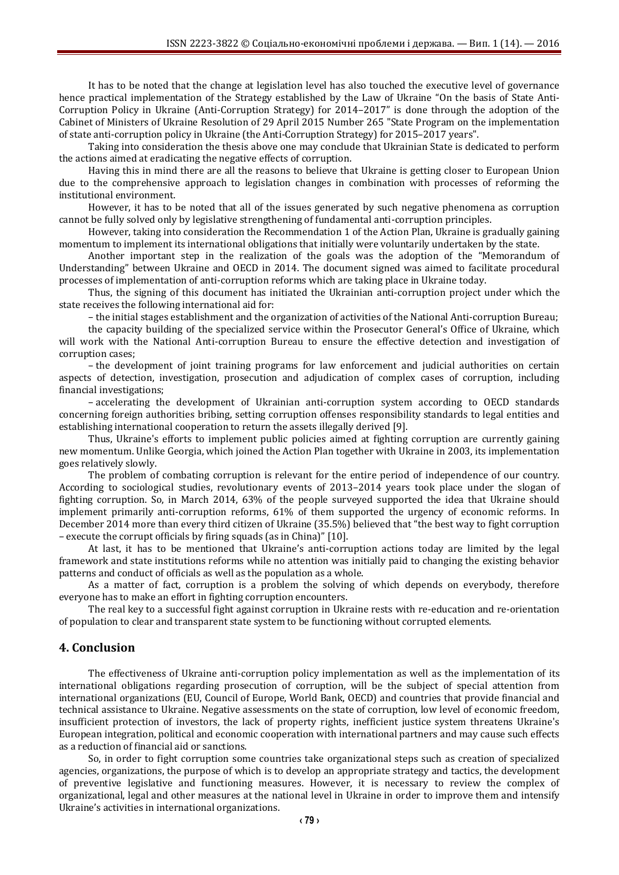It has to be noted that the change at legislation level has also touched the executive level of governance hence practical implementation of the Strategy established by the Law of Ukraine "On the basis of State Anti-Corruption Policy in Ukraine (Anti-Corruption Strategy) for 2014–2017" is done through the adoption of the Cabinet of Ministers of Ukraine Resolution of 29 April 2015 Number 265 "State Program on the implementation of state anti-corruption policy in Ukraine (the Anti-Corruption Strategy) for 2015–2017 years".

Taking into consideration the thesis above one may conclude that Ukrainian State is dedicated to perform the actions aimed at eradicating the negative effects of corruption.

Having this in mind there are all the reasons to believe that Ukraine is getting closer to European Union due to the comprehensive approach to legislation changes in combination with processes of reforming the institutional environment.

However, it has to be noted that all of the issues generated by such negative phenomena as corruption cannot be fully solved only by legislative strengthening of fundamental anti-corruption principles.

However, taking into consideration the Recommendation 1 of the Action Plan, Ukraine is gradually gaining momentum to implement its international obligations that initially were voluntarily undertaken by the state.

Another important step in the realization of the goals was the adoption of the "Memorandum of Understanding" between Ukraine and OECD in 2014. The document signed was aimed to facilitate procedural processes of implementation of anti-corruption reforms which are taking place in Ukraine today.

Thus, the signing of this document has initiated the Ukrainian anti-corruption project under which the state receives the following international aid for:

– the initial stages establishment and the organization of activities of the National Anti-corruption Bureau;

the capacity building of the specialized service within the Prosecutor General's Office of Ukraine, which will work with the National Anti-corruption Bureau to ensure the effective detection and investigation of corruption cases;

– the development of joint training programs for law enforcement and judicial authorities on certain aspects of detection, investigation, prosecution and adjudication of complex cases of corruption, including financial investigations;

– accelerating the development of Ukrainian anti-corruption system according to OECD standards concerning foreign authorities bribing, setting corruption offenses responsibility standards to legal entities and establishing international cooperation to return the assets illegally derived [9].

Thus, Ukraine's efforts to implement public policies aimed at fighting corruption are currently gaining new momentum. Unlike Georgia, which joined the Action Plan together with Ukraine in 2003, its implementation goes relatively slowly.

The problem of combating corruption is relevant for the entire period of independence of our country. According to sociological studies, revolutionary events of 2013–2014 years took place under the slogan of fighting corruption. So, in March 2014, 63% of the people surveyed supported the idea that Ukraine should implement primarily anti-corruption reforms, 61% of them supported the urgency of economic reforms. In December 2014 more than every third citizen of Ukraine (35.5%) believed that "the best way to fight corruption – execute the corrupt officials by firing squads (as in China)" [10].

At last, it has to be mentioned that Ukraine's anti-corruption actions today are limited by the legal framework and state institutions reforms while no attention was initially paid to changing the existing behavior patterns and conduct of officials as well as the population as a whole.

As a matter of fact, corruption is a problem the solving of which depends on everybody, therefore everyone has to make an effort in fighting corruption encounters.

The real key to a successful fight against corruption in Ukraine rests with re-education and re-orientation of population to clear and transparent state system to be functioning without corrupted elements.

### **4. Conclusion**

The effectiveness of Ukraine anti-corruption policy implementation as well as the implementation of its international obligations regarding prosecution of corruption, will be the subject of special attention from international organizations (EU, Council of Europe, World Bank, OECD) and countries that provide financial and technical assistance to Ukraine. Negative assessments on the state of corruption, low level of economic freedom, insufficient protection of investors, the lack of property rights, inefficient justice system threatens Ukraine's European integration, political and economic cooperation with international partners and may cause such effects as a reduction of financial aid or sanctions.

So, in order to fight corruption some countries take organizational steps such as creation of specialized agencies, organizations, the purpose of which is to develop an appropriate strategy and tactics, the development of preventive legislative and functioning measures. However, it is necessary to review the complex of organizational, legal and other measures at the national level in Ukraine in order to improve them and intensify Ukraine's activities in international organizations.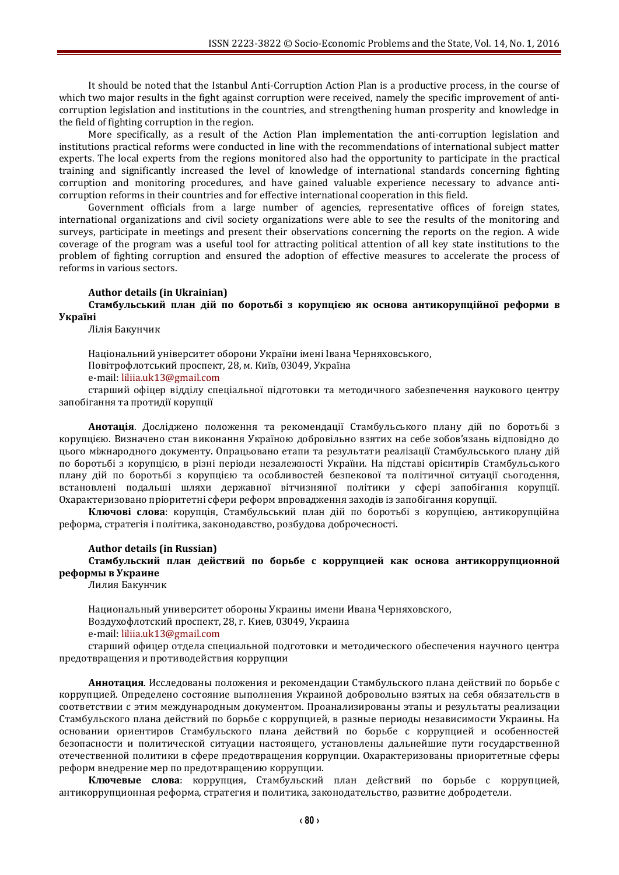It should be noted that the Istanbul Anti-Corruption Action Plan is a productive process, in the course of which two major results in the fight against corruption were received, namely the specific improvement of anticorruption legislation and institutions in the countries, and strengthening human prosperity and knowledge in the field of fighting corruption in the region.

More specifically, as a result of the Action Plan implementation the anti-corruption legislation and institutions practical reforms were conducted in line with the recommendations of international subject matter experts. The local experts from the regions monitored also had the opportunity to participate in the practical training and significantly increased the level of knowledge of international standards concerning fighting corruption and monitoring procedures, and have gained valuable experience necessary to advance anticorruption reforms in their countries and for effective international cooperation in this field.

Government officials from a large number of agencies, representative offices of foreign states, international organizations and civil society organizations were able to see the results of the monitoring and surveys, participate in meetings and present their observations concerning the reports on the region. A wide coverage of the program was a useful tool for attracting political attention of all key state institutions to the problem of fighting corruption and ensured the adoption of effective measures to accelerate the process of reforms in various sectors.

#### **Author details (in Ukrainian)**

### **Стамбульський план дій по боротьбі з корупцією як основа антикорупційної реформи в Україні**

Лілія Бакунчик

Національний університет оборони України імені Івана Черняховського, Повітрофлотський проспект, 28, м. Київ, 03049, Україна e-mail: [liliia.uk13@gmail.com](mailto:liliia.uk13@gmail.com)

старший офіцер відділу спеціальної підготовки та методичного забезпечення наукового центру запобігання та протидії корупції

**Анотація**. Досліджено положення та рекомендації Стамбульського плану дій по боротьбі з корупцією. Визначено стан виконання Україною добровільно взятих на себе зобов'язань відповідно до цього міжнародного документу. Опрацьовано етапи та результати реалізації Стамбульського плану дій по боротьбі з корупцією, в різні періоди незалежності України. На підставі орієнтирів Стамбульського плану дій по боротьбі з корупцією та особливостей безпекової та політичної ситуації сьогодення, встановлені подальші шляхи державної вітчизняної політики у сфері запобігання корупції. Охарактеризовано пріоритетні сфери реформ впровадження заходів із запобігання корупції.

**Ключові слова**: корупція, Стамбульський план дій по боротьбі з корупцією, антикорупційна реформа, стратегія і політика, законодавство, розбудова доброчесності.

#### **Author details (in Russian)**

**Стамбульский план действий по борьбе с коррупцией как основа антикоррупционной реформы в Украине**

Лилия Бакунчик

Национальный университет обороны Украины имени Ивана Черняховского, Воздухофлотский проспект, 28, г. Киев, 03049, Украина e-mail: [liliia.uk13@gmail.com](mailto:liliia.uk13@gmail.com)

старший офицер отдела специальной подготовки и методического обеспечения научного центра предотвращения и противодействия коррупции

**Аннотация**. Исследованы положения и рекомендации Стамбульского плана действий по борьбе с коррупцией. Определено состояние выполнения Украиной добровольно взятых на себя обязательств в соответствии с этим международным документом. Проанализированы этапы и результаты реализации Стамбульского плана действий по борьбе с коррупцией, в разные периоды независимости Украины. На основании ориентиров Стамбульского плана действий по борьбе с коррупцией и особенностей безопасности и политической ситуации настоящего, установлены дальнейшие пути государственной отечественной политики в сфере предотвращения коррупции. Охарактеризованы приоритетные сферы реформ внедрение мер по предотвращению коррупции.

**Ключевые слова**: коррупция, Стамбульский план действий по борьбе с коррупцией, антикоррупционная реформа, стратегия и политика, законодательство, развитие добродетели.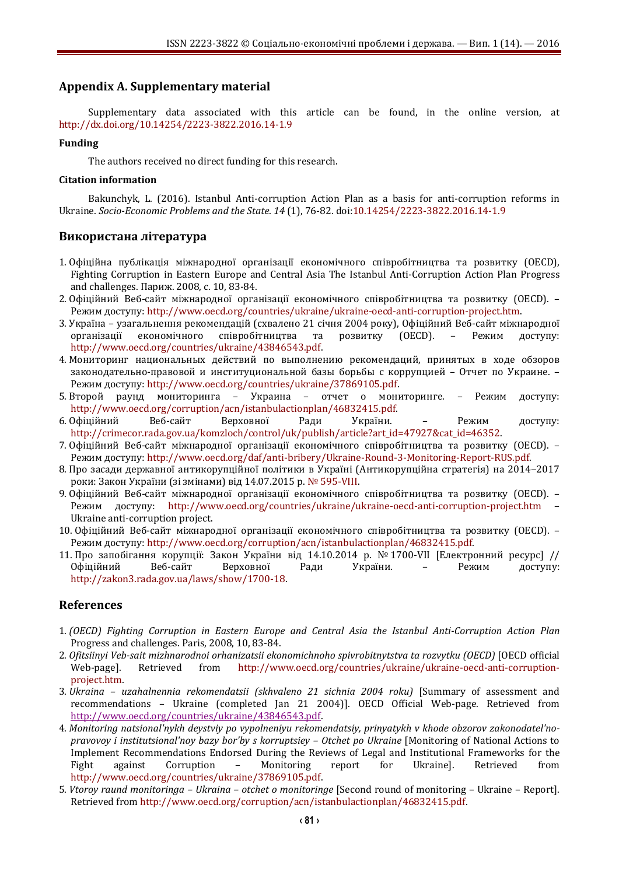## **Appendix A. Supplementary material**

Supplementary data associated with this article can be found, in the online version, at <http://dx.doi.org/10.14254/2223-3822.2016.14-1.9>

#### **Funding**

The authors received no direct funding for this research.

#### **Citation information**

Bakunchyk, L. (2016). Istanbul Anti-corruption Action Plan as a basis for anti-corruption reforms in Ukraine. *Socio-Economic Problems and the State*. *14* (1), 76-82. [doi:10.14254/2223-3822.2016.14-1.9](http://dx.doi.org/10.14254/2223-3822.2016.14-1.9)

## **Використана література**

- 1. Офіційна публікація міжнародної організації економічного співробітництва та розвитку (OECD), Fighting Corruption in Eastern Europe and Central Asia The Istanbul Anti-Corruption Action Plan Progress and challenges. Париж. 2008, с. 10, 83-84.
- 2. Офіційний Веб-сайт міжнародної організації економічного співробітництва та розвитку (OECD). Режим доступу: [http://www.oecd.org/countries/ukraine/ukraine-oecd-anti-corruption-project.htm.](http://www.oecd.org/countries/ukraine/ukraine-oecd-anti-corruption-project.htm)
- 3. Україна узагальнення рекомендацій (схвалено 21 січня 2004 року), Офіційний Веб-сайт міжнародної організації економічного співробітництва та розвитку (OECD). – Режим доступу: [http://www.oecd.org/countries/ukraine/43846543.pdf.](http://www.oecd.org/countries/ukraine/43846543.pdf)
- 4. Мониторинг национальных действий по выполнению рекомендаций, принятых в ходе обзоров законодательно-правовой и институциональной базы борьбы с коррупцией – Отчет по Украине. – Режим доступу: [http://www.oecd.org/countries/ukraine/37869105.pdf.](http://www.oecd.org/countries/ukraine/37869105.pdf)
- 5. Второй раунд мониторинга Украина отчет о мониторинге. Режим доступу: [http://www.oecd.org/corruption/acn/istanbulactionplan/46832415.pdf.](http://www.oecd.org/corruption/acn/istanbulactionplan/46832415.pdf)
- 6. Офіційний Веб-сайт Верховної Ради України. Режим доступу: [http://crimecor.rada.gov.ua/komzloch/control/uk/publish/article?art\\_id=47927&cat\\_id=46352.](http://crimecor.rada.gov.ua/komzloch/control/uk/publish/article?art_id=47927&cat_id=46352)
- 7. Офіційний Веб-сайт міжнародної організації економічного співробітництва та розвитку (OECD). Режим доступу: [http://www.oecd.org/daf/anti-bribery/Ukraine-Round-3-Monitoring-Report-RUS.pdf.](http://www.oecd.org/daf/anti-bribery/Ukraine-Round-3-Monitoring-Report-RUS.pdf)
- 8. Про засади державної антикорупційної політики в Україні (Антикорупційна стратегія) на 2014‒2017 роки: Закон України (зі змінами) від 14.07.2015 р. [№ 595](http://zakon5.rada.gov.ua/laws/show/595-19/paran1859#n1859)-VIII.
- 9. Офіційний Веб-сайт міжнародної організації економічного співробітництва та розвитку (OECD). Режим доступу: <http://www.oecd.org/countries/ukraine/ukraine-oecd-anti-corruption-project.htm> – Ukraine anti-corruption project.
- 10. Офіційний Веб-сайт міжнародної організації економічного співробітництва та розвитку (OECD). Режим доступу: [http://www.oecd.org/corruption/acn/istanbulactionplan/46832415.pdf.](http://www.oecd.org/corruption/acn/istanbulactionplan/46832415.pdf)
- 11. Про запобігання корупції: Закон України від 14.10.2014 р. № 1700-VII [Електронний ресурс] // Офіційний Веб-сайт Верховної Ради України. – Режим доступу: [http://zakon3.rada.gov.ua/laws/show/1700-18.](http://zakon3.rada.gov.ua/laws/show/1700-18)

# **References**

- 1. *(OECD) Fighting Corruption in Eastern Europe and Central Asia the Istanbul Anti-Corruption Action Plan* Progress and challenges. Paris, 2008, 10, 83-84.
- 2. *Ofitsiinyi Veb-sait mizhnarodnoi orhanizatsii ekonomichnoho spivrobitnytstva ta rozvytku (OECD)* [OECD official Web-page]. Retrieved from [http://www.oecd.org/countries/ukraine/ukraine-oecd-anti-corruption](http://www.oecd.org/countries/ukraine/ukraine-oecd-anti-corruption-project.htm)[project.htm.](http://www.oecd.org/countries/ukraine/ukraine-oecd-anti-corruption-project.htm)
- 3. *Ukraina – uzahalnennia rekomendatsii (skhvaleno 21 sichnia 2004 roku)* [Summary of assessment and recommendations – Ukraine (completed Jan 21 2004)]. OECD Official Web-page. Retrieved from [http://www.oecd.org/countries/ukraine/43846543.pdf.](http://www.oecd.org/countries/ukraine/43846543.pdf)
- 4. *Monitoring natsional'nykh deystviy po vypolneniyu rekomendatsiy, prinyatykh v khode obzorov zakonodatel'nopravovoy i institutsional'noy bazy bor'by s korruptsiey – Otchet po Ukraine* [Monitoring of National Actions to Implement Recommendations Endorsed During the Reviews of Legal and Institutional Frameworks for the Fight against Corruption – Monitoring report for Ukraine]. Retrieved from [http://www.oecd.org/countries/ukraine/37869105.pdf.](http://www.oecd.org/countries/ukraine/37869105.pdf)
- 5. *Vtoroy raund monitoringa – Ukraina – otchet o monitoringe* [Second round of monitoring Ukraine Report]. Retrieved from [http://www.oecd.org/corruption/acn/istanbulactionplan/46832415.pdf.](http://www.oecd.org/corruption/acn/istanbulactionplan/46832415.pdf)